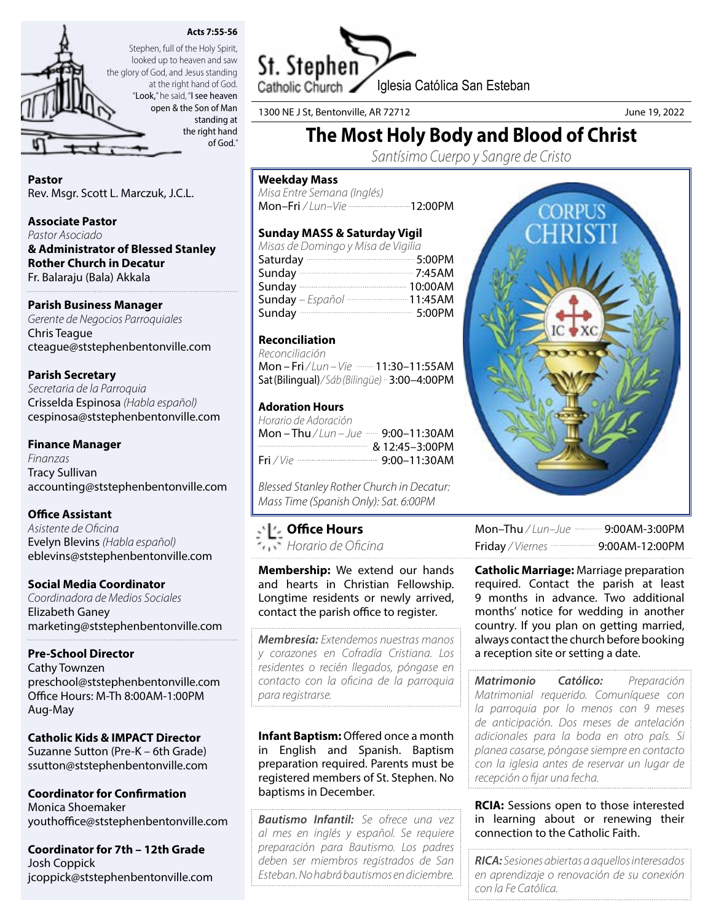



looked up to heaven and saw the glory of God, and Jesus standing at the right hand of God. "Look," he said, "I see heaven open & the Son of Man

standing at the right hand of God."

Pastor Rev. Msgr. Scott L. Marczuk, J.C.L.

#### Associate Pastor

*Pastor Asociado*

& Administrator of Blessed Stanley Rother Church in Decatur Fr. Balaraju (Bala) Akkala

## Parish Business Manager

*Gerente de Negocios Parroquiales* Chris Teague cteague@ststephenbentonville.com

## Parish Secretary

*Secretaria de la Parroquia* Crisselda Espinosa *(Habla español)* cespinosa@ststephenbentonville.com

## Finance Manager

*Finanzas* Tracy Sullivan accounting@ststephenbentonville.com

## Office Assistant

*Asistente de Oficina* Evelyn Blevins *(Habla español)* eblevins@ststephenbentonville.com

## Social Media Coordinator

*Coordinadora de Medios Sociales* Elizabeth Ganey marketing@ststephenbentonville.com

## Pre-School Director

Cathy Townzen preschool@ststephenbentonville.com Office Hours: M-Th 8:00AM-1:00PM Aug-May

#### Catholic Kids & IMPACT Director Suzanne Sutton (Pre-K – 6th Grade)

ssutton@ststephenbentonville.com

Coordinator for Confirmation Monica Shoemaker youthoffice@ststephenbentonville.com

Coordinator for 7th – 12th Grade Josh Coppick jcoppick@ststephenbentonville.com



1300 NE J St, Bentonville, AR 72712 June 19, 2022

# The Most Holy Body and Blood of Christ

*Santísimo Cuerpo y Sangre de Cristo*

#### Weekday Mass

*Misa Entre Semana (Inglés)* Mon-Fri / Lun-Vie ---------------------------12:00PM

## Sunday MASS & Saturday Vigil

| Misas de Domingo y Misa de Vigilia                        |  |
|-----------------------------------------------------------|--|
| Saturday <b>Contract Street Street Street Area</b> 5:00PM |  |
| Sunday 2:45AM                                             |  |
|                                                           |  |
| Sunday - Español  11:45AM                                 |  |
| Sunday 3:00PM                                             |  |

## Reconciliation

*Reconciliación*  Mon – Fri / Lun – Vie **- 11:30–11:55AM** Sat (Bilingual)*/ Sáb (Bilingüe)* 3:00–4:00PM

## Adoration Hours

| Horario de Adoración                  |  |
|---------------------------------------|--|
| Mon – Thu / Lun – Jue …… 9:00–11:30AM |  |
| $& 12:45-3:00 \text{PM}$              |  |
|                                       |  |

*Blessed Stanley Rother Church in Decatur: Mass Time (Spanish Only): Sat. 6:00PM*

## Office Hours

*Horario de Oficina*

Membership: We extend our hands and hearts in Christian Fellowship. Longtime residents or newly arrived, contact the parish office to register.

*Membresía: Extendemos nuestras manos y corazones en Cofradía Cristiana. Los residentes o recién llegados, póngase en contacto con la oficina de la parroquia para registrarse.*

Infant Baptism: Offered once a month in English and Spanish. Baptism preparation required. Parents must be registered members of St. Stephen. No baptisms in December.

*Bautismo Infantil: Se ofrece una vez al mes en inglés y español. Se requiere preparación para Bautismo. Los padres deben ser miembros registrados de San Esteban. No habrá bautismos en diciembre.*



Mon-Thu / Lun-Jue ----------- 9:00AM-3:00PM Friday */ Viernes* 9:00AM-12:00PM

**Catholic Marriage: Marriage preparation** required. Contact the parish at least 9 months in advance. Two additional months' notice for wedding in another country. If you plan on getting married, always contact the church before booking a reception site or setting a date.

*Matrimonio Católico: Preparación Matrimonial requerido. Comuníquese con la parroquia por lo menos con 9 meses de anticipación. Dos meses de antelación adicionales para la boda en otro país. Si planea casarse, póngase siempre en contacto con la iglesia antes de reservar un lugar de recepción o fijar una fecha.*

**RCIA:** Sessions open to those interested in learning about or renewing their connection to the Catholic Faith.

*RICA: Sesiones abiertas a aquellos interesados en aprendizaje o renovación de su conexión con la Fe Católica.*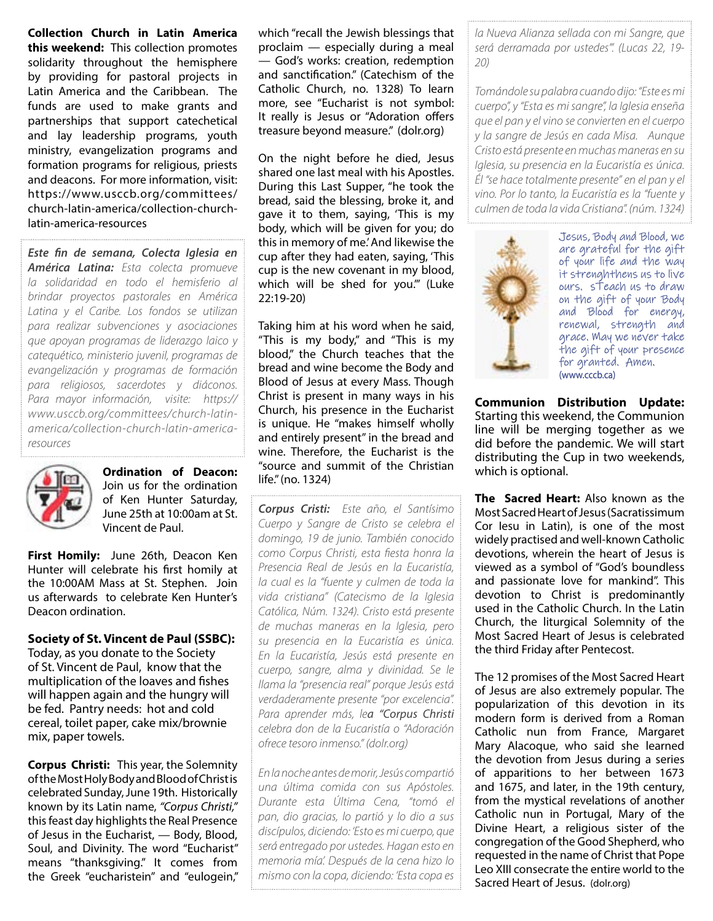Collection Church in Latin America this weekend: This collection promotes solidarity throughout the hemisphere by providing for pastoral projects in Latin America and the Caribbean. The funds are used to make grants and partnerships that support catechetical and lay leadership programs, youth ministry, evangelization programs and formation programs for religious, priests and deacons. For more information, visit: https://www.usccb.org/committees/ church-latin-america/collection-churchlatin-america-resources

*Este fin de semana, Colecta Iglesia en América Latina: Esta colecta promueve la solidaridad en todo el hemisferio al brindar proyectos pastorales en América Latina y el Caribe. Los fondos se utilizan para realizar subvenciones y asociaciones que apoyan programas de liderazgo laico y catequético, ministerio juvenil, programas de evangelización y programas de formación para religiosos, sacerdotes y diáconos. Para mayor información, visite: https:// www.usccb.org/committees/church-latinamerica/collection-church-latin-americaresources*



Ordination of Deacon: Join us for the ordination of Ken Hunter Saturday, June 25th at 10:00am at St. Vincent de Paul.

First Homily: June 26th, Deacon Ken Hunter will celebrate his first homily at the 10:00AM Mass at St. Stephen. Join us afterwards to celebrate Ken Hunter's Deacon ordination.

Society of St. Vincent de Paul (SSBC): Today, as you donate to the Society of St. Vincent de Paul, know that the multiplication of the loaves and fishes will happen again and the hungry will be fed. Pantry needs: hot and cold cereal, toilet paper, cake mix/brownie mix, paper towels.

**Corpus Christi:** This year, the Solemnity of the Most Holy Body and Blood of Christ is celebrated Sunday, June 19th. Historically known by its Latin name, *"Corpus Christi,"* this feast day highlights the Real Presence of Jesus in the Eucharist, — Body, Blood, Soul, and Divinity. The word "Eucharist" means "thanksgiving." It comes from the Greek "eucharistein" and "eulogein,"

which "recall the Jewish blessings that proclaim — especially during a meal — God's works: creation, redemption and sanctification." (Catechism of the Catholic Church, no. 1328) To learn more, see "Eucharist is not symbol: It really is Jesus or "Adoration offers treasure beyond measure." (dolr.org)

On the night before he died, Jesus shared one last meal with his Apostles. During this Last Supper, "he took the bread, said the blessing, broke it, and gave it to them, saying, 'This is my body, which will be given for you; do this in memory of me.' And likewise the cup after they had eaten, saying, 'This cup is the new covenant in my blood, which will be shed for you.'" (Luke 22:19-20)

Taking him at his word when he said, "This is my body," and "This is my blood," the Church teaches that the bread and wine become the Body and Blood of Jesus at every Mass. Though Christ is present in many ways in his Church, his presence in the Eucharist is unique. He "makes himself wholly and entirely present" in the bread and wine. Therefore, the Eucharist is the "source and summit of the Christian life." (no. 1324)

*Corpus Cristi: Este año, el Santísimo Cuerpo y Sangre de Cristo se celebra el domingo, 19 de junio. También conocido como Corpus Christi, esta fiesta honra la Presencia Real de Jesús en la Eucaristía, la cual es la "fuente y culmen de toda la vida cristiana" (Catecismo de la Iglesia Católica, Núm. 1324). Cristo está presente de muchas maneras en la Iglesia, pero su presencia en la Eucaristía es única. En la Eucaristía, Jesús está presente en cuerpo, sangre, alma y divinidad. Se le llama la "presencia real" porque Jesús está verdaderamente presente "por excelencia". Para aprender más, lea "Corpus Christi celebra don de la Eucaristía o "Adoración ofrece tesoro inmenso." (dolr.org)*

*En la noche antes de morir, Jesús compartió una última comida con sus Apóstoles. Durante esta Última Cena, "tomó el pan, dio gracias, lo partió y lo dio a sus discípulos, diciendo: 'Esto es mi cuerpo, que será entregado por ustedes. Hagan esto en memoria mía'. Después de la cena hizo lo mismo con la copa, diciendo: 'Esta copa es* 

*la Nueva Alianza sellada con mi Sangre, que será derramada por ustedes'". (Lucas 22, 19- 20)*

*Tomándole su palabra cuando dijo: "Este es mi cuerpo", y "Esta es mi sangre", la Iglesia enseña que el pan y el vino se convierten en el cuerpo y la sangre de Jesús en cada Misa. Aunque Cristo está presente en muchas maneras en su Iglesia, su presencia en la Eucaristía es única. Él "se hace totalmente presente" en el pan y el vino. Por lo tanto, la Eucaristía es la "fuente y culmen de toda la vida Cristiana". (núm. 1324)*



Jesus, Body and Blood, we are grateful for the gift of your life and the way it strenghthens us to live ours. sTeach us to draw on the gift of your Body and Blood for energy, renewal, strength and grace. May we never take the gift of your presence for granted. Amen. (www.cccb.ca)

Communion Distribution Update: Starting this weekend, the Communion line will be merging together as we did before the pandemic. We will start distributing the Cup in two weekends, which is optional.

The Sacred Heart: Also known as the Most Sacred Heart of Jesus (Sacratissimum Cor Iesu in Latin), is one of the most widely practised and well-known Catholic devotions, wherein the heart of Jesus is viewed as a symbol of "God's boundless and passionate love for mankind". This devotion to Christ is predominantly used in the Catholic Church. In the Latin Church, the liturgical Solemnity of the Most Sacred Heart of Jesus is celebrated the third Friday after Pentecost.

The 12 promises of the Most Sacred Heart of Jesus are also extremely popular. The popularization of this devotion in its modern form is derived from a Roman Catholic nun from France, Margaret Mary Alacoque, who said she learned the devotion from Jesus during a series of apparitions to her between 1673 and 1675, and later, in the 19th century, from the mystical revelations of another Catholic nun in Portugal, Mary of the Divine Heart, a religious sister of the congregation of the Good Shepherd, who requested in the name of Christ that Pope Leo XIII consecrate the entire world to the Sacred Heart of Jesus. (dolr.org)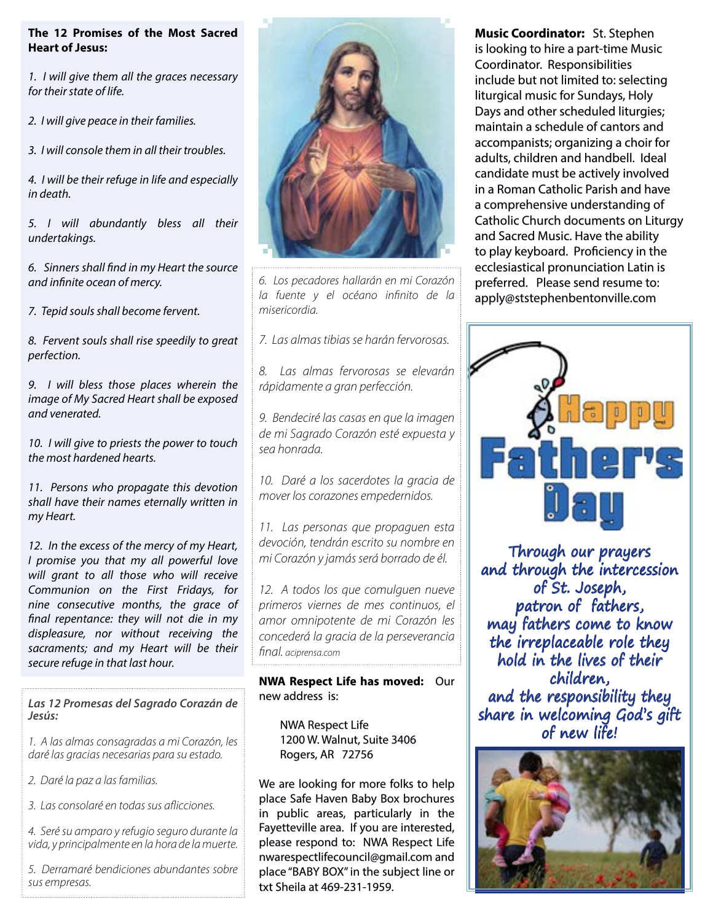## The 12 Promises of the Most Sacred Heart of Jesus:

*1. I will give them all the graces necessary for their state of life.*

*2. I will give peace in their families.*

*3. I will console them in all their troubles.*

*4. I will be their refuge in life and especially in death.*

*5. I will abundantly bless all their undertakings.*

*6. Sinners shall find in my Heart the source and infinite ocean of mercy.*

*7. Tepid souls shall become fervent.*

*8. Fervent souls shall rise speedily to great perfection.*

*9. I will bless those places wherein the image of My Sacred Heart shall be exposed and venerated.*

*10. I will give to priests the power to touch the most hardened hearts.*

*11. Persons who propagate this devotion shall have their names eternally written in my Heart.*

*12. In the excess of the mercy of my Heart, I promise you that my all powerful love will grant to all those who will receive Communion on the First Fridays, for nine consecutive months, the grace of final repentance: they will not die in my displeasure, nor without receiving the sacraments; and my Heart will be their secure refuge in that last hour.*

*Las 12 Promesas del Sagrado Corazán de Jesús:* 

*1. A las almas consagradas a mi Corazón, les daré las gracias necesarias para su estado.*

*2. Daré la paz a las familias.*

*3. Las consolaré en todas sus aflicciones.*

*4. Seré su amparo y refugio seguro durante la vida, y principalmente en la hora de la muerte.*

*5. Derramaré bendiciones abundantes sobre sus empresas.*



*6. Los pecadores hallarán en mi Corazón la fuente y el océano infinito de la misericordia.*

*7. Las almas tibias se harán fervorosas.*

*8. Las almas fervorosas se elevarán rápidamente a gran perfección.*

*9. Bendeciré las casas en que la imagen de mi Sagrado Corazón esté expuesta y sea honrada.*

*10. Daré a los sacerdotes la gracia de mover los corazones empedernidos.*

*11. Las personas que propaguen esta devoción, tendrán escrito su nombre en mi Corazón y jamás será borrado de él.*

*12. A todos los que comulguen nueve primeros viernes de mes continuos, el amor omnipotente de mi Corazón les concederá la gracia de la perseverancia final. aciprensa.com*

NWA Respect Life has moved: Our new address is:

NWA Respect Life 1200 W. Walnut, Suite 3406 Rogers, AR 72756

We are looking for more folks to help place Safe Haven Baby Box brochures in public areas, particularly in the Fayetteville area. If you are interested, please respond to: NWA Respect Life nwarespectlifecouncil@gmail.com and place "BABY BOX" in the subject line or txt Sheila at 469-231-1959.

Music Coordinator: St. Stephen is looking to hire a part-time Music Coordinator. Responsibilities include but not limited to: selecting liturgical music for Sundays, Holy Days and other scheduled liturgies; maintain a schedule of cantors and accompanists; organizing a choir for adults, children and handbell. Ideal candidate must be actively involved in a Roman Catholic Parish and have a comprehensive understanding of Catholic Church documents on Liturgy and Sacred Music. Have the ability to play keyboard. Proficiency in the ecclesiastical pronunciation Latin is preferred. Please send resume to: apply@ststephenbentonville.com



Through our prayers and through the intercession of St. Joseph, patron of fathers, may fathers come to know the irreplaceable role they hold in the lives of their children, and the responsibility they share in welcoming God's gift of new life!